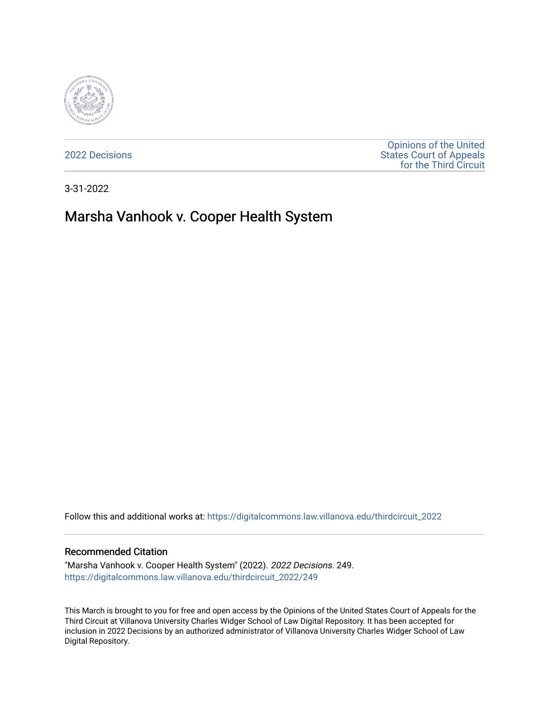

[2022 Decisions](https://digitalcommons.law.villanova.edu/thirdcircuit_2022)

[Opinions of the United](https://digitalcommons.law.villanova.edu/thirdcircuit)  [States Court of Appeals](https://digitalcommons.law.villanova.edu/thirdcircuit)  [for the Third Circuit](https://digitalcommons.law.villanova.edu/thirdcircuit) 

3-31-2022

# Marsha Vanhook v. Cooper Health System

Follow this and additional works at: [https://digitalcommons.law.villanova.edu/thirdcircuit\\_2022](https://digitalcommons.law.villanova.edu/thirdcircuit_2022?utm_source=digitalcommons.law.villanova.edu%2Fthirdcircuit_2022%2F249&utm_medium=PDF&utm_campaign=PDFCoverPages) 

#### Recommended Citation

"Marsha Vanhook v. Cooper Health System" (2022). 2022 Decisions. 249. [https://digitalcommons.law.villanova.edu/thirdcircuit\\_2022/249](https://digitalcommons.law.villanova.edu/thirdcircuit_2022/249?utm_source=digitalcommons.law.villanova.edu%2Fthirdcircuit_2022%2F249&utm_medium=PDF&utm_campaign=PDFCoverPages)

This March is brought to you for free and open access by the Opinions of the United States Court of Appeals for the Third Circuit at Villanova University Charles Widger School of Law Digital Repository. It has been accepted for inclusion in 2022 Decisions by an authorized administrator of Villanova University Charles Widger School of Law Digital Repository.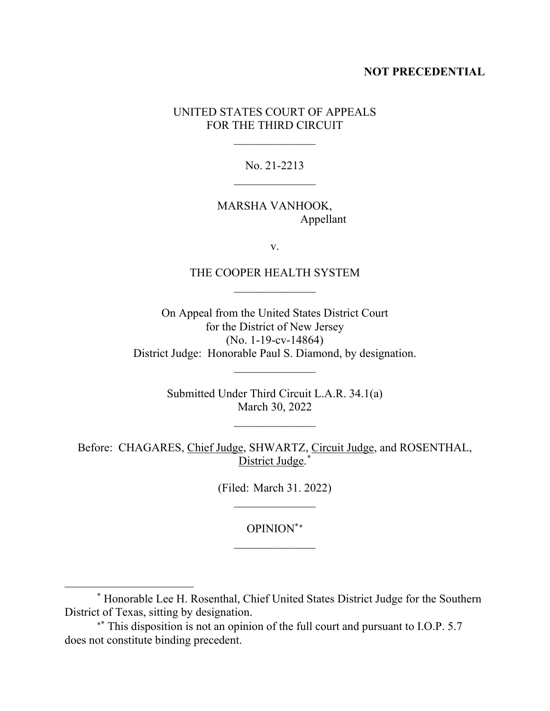## **NOT PRECEDENTIAL**

## UNITED STATES COURT OF APPEALS FOR THE THIRD CIRCUIT

 $\frac{1}{2}$ 

No. 21-2213

## MARSHA VANHOOK, Appellant

v.

## THE COOPER HEALTH SYSTEM  $\frac{1}{2}$

On Appeal from the United States District Court for the District of New Jersey (No. 1-19-cv-14864) District Judge: Honorable Paul S. Diamond, by designation.

> Submitted Under Third Circuit L.A.R. 34.1(a) March 30, 2022

> > $\overline{\phantom{a}}$

 $\frac{1}{2}$ 

Before: CHAGARES, Chief Judge, SHWARTZ, Circuit Judge, and ROSENTHAL, District Judge.[\\*](#page-1-0)

> (Filed: March 31. 2022)  $\frac{1}{2}$

> > OPINION\*[∗](#page-1-1)  $\frac{1}{2}$

<span id="page-1-0"></span><sup>\*</sup> Honorable Lee H. Rosenthal, Chief United States District Judge for the Southern District of Texas, sitting by designation.

<span id="page-1-1"></span><sup>∗</sup>\* This disposition is not an opinion of the full court and pursuant to I.O.P. 5.7 does not constitute binding precedent.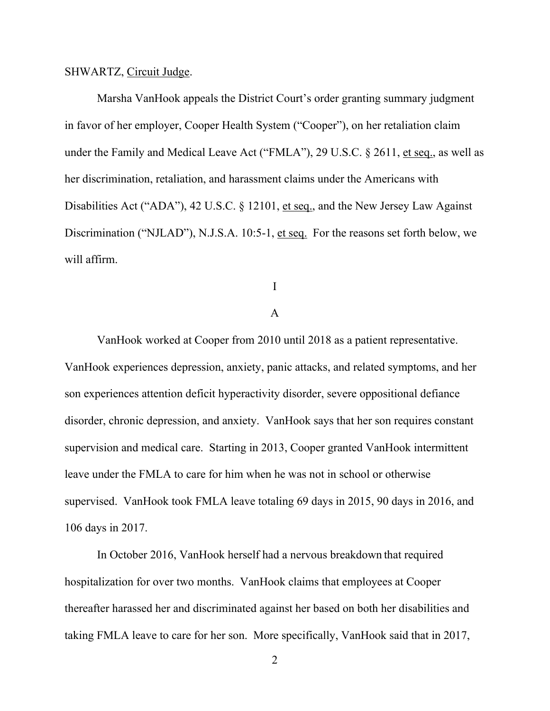#### SHWARTZ, Circuit Judge.

Marsha VanHook appeals the District Court's order granting summary judgment in favor of her employer, Cooper Health System ("Cooper"), on her retaliation claim under the Family and Medical Leave Act ("FMLA"), 29 U.S.C. § 2611, et seq., as well as her discrimination, retaliation, and harassment claims under the Americans with Disabilities Act ("ADA"), 42 U.S.C. § 12101, et seq., and the New Jersey Law Against Discrimination ("NJLAD"), N.J.S.A. 10:5-1, et seq. For the reasons set forth below, we will affirm.

I

## A

VanHook worked at Cooper from 2010 until 2018 as a patient representative. VanHook experiences depression, anxiety, panic attacks, and related symptoms, and her son experiences attention deficit hyperactivity disorder, severe oppositional defiance disorder, chronic depression, and anxiety. VanHook says that her son requires constant supervision and medical care. Starting in 2013, Cooper granted VanHook intermittent leave under the FMLA to care for him when he was not in school or otherwise supervised. VanHook took FMLA leave totaling 69 days in 2015, 90 days in 2016, and 106 days in 2017.

In October 2016, VanHook herself had a nervous breakdown that required hospitalization for over two months. VanHook claims that employees at Cooper thereafter harassed her and discriminated against her based on both her disabilities and taking FMLA leave to care for her son. More specifically, VanHook said that in 2017,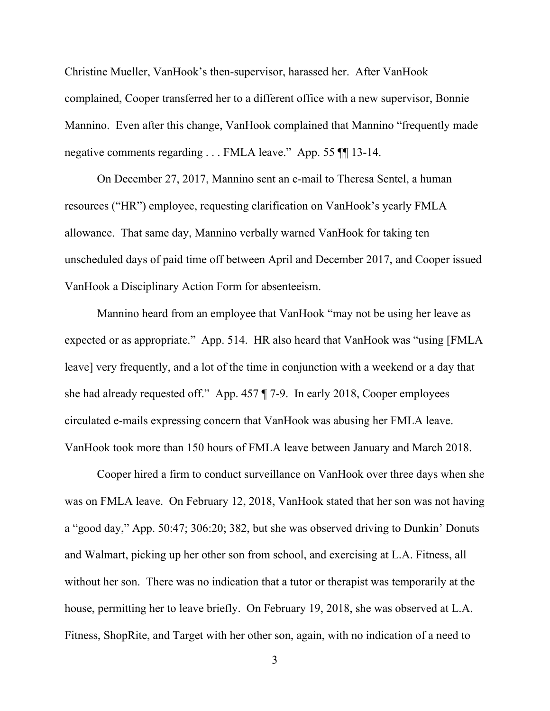Christine Mueller, VanHook's then-supervisor, harassed her. After VanHook complained, Cooper transferred her to a different office with a new supervisor, Bonnie Mannino. Even after this change, VanHook complained that Mannino "frequently made negative comments regarding . . . FMLA leave." App. 55 ¶¶ 13-14.

On December 27, 2017, Mannino sent an e-mail to Theresa Sentel, a human resources ("HR") employee, requesting clarification on VanHook's yearly FMLA allowance. That same day, Mannino verbally warned VanHook for taking ten unscheduled days of paid time off between April and December 2017, and Cooper issued VanHook a Disciplinary Action Form for absenteeism.

Mannino heard from an employee that VanHook "may not be using her leave as expected or as appropriate." App. 514. HR also heard that VanHook was "using [FMLA leave] very frequently, and a lot of the time in conjunction with a weekend or a day that she had already requested off." App. 457 ¶ 7-9. In early 2018, Cooper employees circulated e-mails expressing concern that VanHook was abusing her FMLA leave. VanHook took more than 150 hours of FMLA leave between January and March 2018.

Cooper hired a firm to conduct surveillance on VanHook over three days when she was on FMLA leave. On February 12, 2018, VanHook stated that her son was not having a "good day," App. 50:47; 306:20; 382, but she was observed driving to Dunkin' Donuts and Walmart, picking up her other son from school, and exercising at L.A. Fitness, all without her son. There was no indication that a tutor or therapist was temporarily at the house, permitting her to leave briefly. On February 19, 2018, she was observed at L.A. Fitness, ShopRite, and Target with her other son, again, with no indication of a need to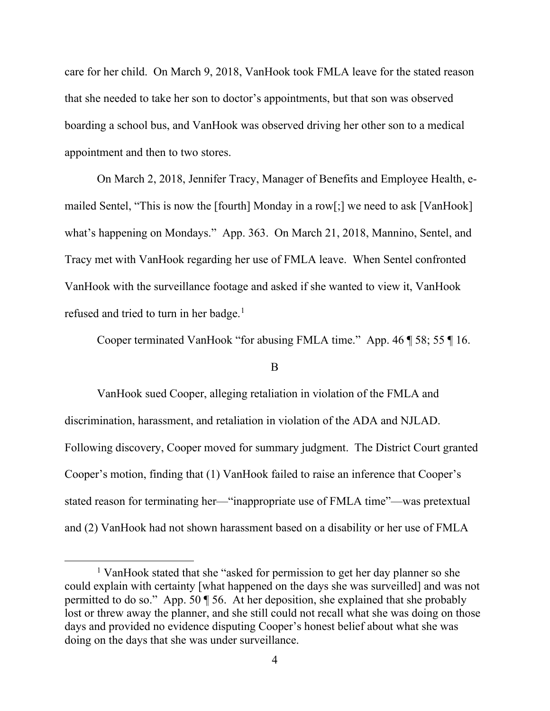care for her child. On March 9, 2018, VanHook took FMLA leave for the stated reason that she needed to take her son to doctor's appointments, but that son was observed boarding a school bus, and VanHook was observed driving her other son to a medical appointment and then to two stores.

On March 2, 2018, Jennifer Tracy, Manager of Benefits and Employee Health, emailed Sentel, "This is now the [fourth] Monday in a row[;] we need to ask [VanHook] what's happening on Mondays." App. 363. On March 21, 2018, Mannino, Sentel, and Tracy met with VanHook regarding her use of FMLA leave. When Sentel confronted VanHook with the surveillance footage and asked if she wanted to view it, VanHook refused and tried to turn in her badge.<sup>[1](#page-4-0)</sup>

Cooper terminated VanHook "for abusing FMLA time." App. 46 ¶ 58; 55 ¶ 16.

## B

VanHook sued Cooper, alleging retaliation in violation of the FMLA and discrimination, harassment, and retaliation in violation of the ADA and NJLAD. Following discovery, Cooper moved for summary judgment. The District Court granted Cooper's motion, finding that (1) VanHook failed to raise an inference that Cooper's stated reason for terminating her—"inappropriate use of FMLA time"—was pretextual and (2) VanHook had not shown harassment based on a disability or her use of FMLA

<span id="page-4-0"></span><sup>1</sup> VanHook stated that she "asked for permission to get her day planner so she could explain with certainty [what happened on the days she was surveilled] and was not permitted to do so." App. 50 ¶ 56. At her deposition, she explained that she probably lost or threw away the planner, and she still could not recall what she was doing on those days and provided no evidence disputing Cooper's honest belief about what she was doing on the days that she was under surveillance.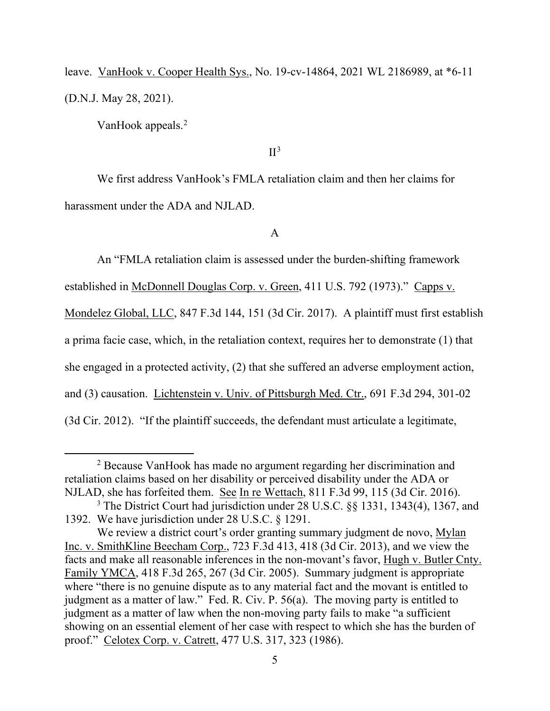leave. VanHook v. Cooper Health Sys., No. 19-cv-14864, 2021 WL 2186989, at \*6-11 (D.N.J. May 28, 2021).

VanHook appeals.<sup>[2](#page-5-0)</sup>

#### $II<sup>3</sup>$  $II<sup>3</sup>$  $II<sup>3</sup>$

We first address VanHook's FMLA retaliation claim and then her claims for harassment under the ADA and NJLAD.

## A

An "FMLA retaliation claim is assessed under the burden-shifting framework established in McDonnell Douglas Corp. v. Green, 411 U.S. 792 (1973)." Capps v. Mondelez Global, LLC, 847 F.3d 144, 151 (3d Cir. 2017). A plaintiff must first establish a prima facie case, which, in the retaliation context, requires her to demonstrate (1) that she engaged in a protected activity, (2) that she suffered an adverse employment action, and (3) causation. Lichtenstein v. Univ. of Pittsburgh Med. Ctr., 691 F.3d 294, 301-02 (3d Cir. 2012). "If the plaintiff succeeds, the defendant must articulate a legitimate,

<span id="page-5-0"></span><sup>2</sup> Because VanHook has made no argument regarding her discrimination and retaliation claims based on her disability or perceived disability under the ADA or NJLAD, she has forfeited them. See In re Wettach, 811 F.3d 99, 115 (3d Cir. 2016).

<span id="page-5-1"></span><sup>3</sup> The District Court had jurisdiction under 28 U.S.C. §§ 1331, 1343(4), 1367, and 1392. We have jurisdiction under 28 U.S.C. § 1291.

We review a district court's order granting summary judgment de novo, Mylan Inc. v. SmithKline Beecham Corp., 723 F.3d 413, 418 (3d Cir. 2013), and we view the facts and make all reasonable inferences in the non-movant's favor, Hugh v. Butler Cnty. Family YMCA, 418 F.3d 265, 267 (3d Cir. 2005). Summary judgment is appropriate where "there is no genuine dispute as to any material fact and the movant is entitled to judgment as a matter of law." Fed. R. Civ. P. 56(a). The moving party is entitled to judgment as a matter of law when the non-moving party fails to make "a sufficient showing on an essential element of her case with respect to which she has the burden of proof." Celotex Corp. v. Catrett, 477 U.S. 317, 323 (1986).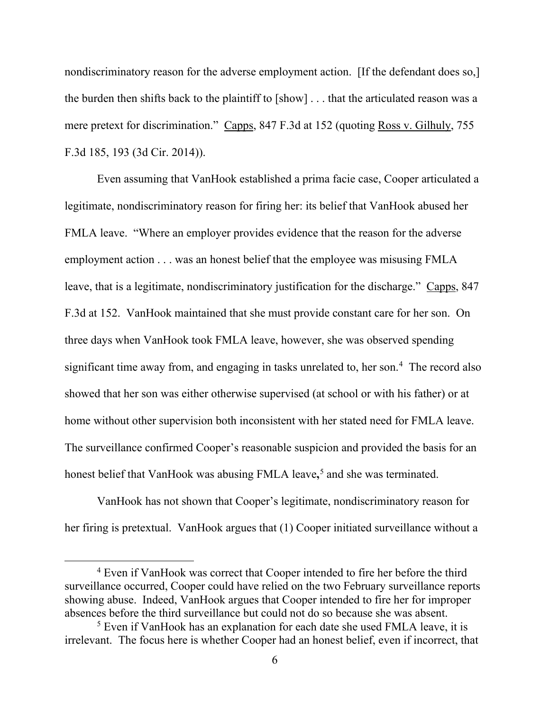nondiscriminatory reason for the adverse employment action. [If the defendant does so,] the burden then shifts back to the plaintiff to [show] . . . that the articulated reason was a mere pretext for discrimination." Capps, 847 F.3d at 152 (quoting Ross v. Gilhuly, 755 F.3d 185, 193 (3d Cir. 2014)).

Even assuming that VanHook established a prima facie case, Cooper articulated a legitimate, nondiscriminatory reason for firing her: its belief that VanHook abused her FMLA leave. "Where an employer provides evidence that the reason for the adverse employment action . . . was an honest belief that the employee was misusing FMLA leave, that is a legitimate, nondiscriminatory justification for the discharge." Capps, 847 F.3d at 152. VanHook maintained that she must provide constant care for her son. On three days when VanHook took FMLA leave, however, she was observed spending significant time away from, and engaging in tasks unrelated to, her son.<sup>[4](#page-6-0)</sup> The record also showed that her son was either otherwise supervised (at school or with his father) or at home without other supervision both inconsistent with her stated need for FMLA leave. The surveillance confirmed Cooper's reasonable suspicion and provided the basis for an honest belief that VanHook was abusing FMLA leave**,** [5](#page-6-1) and she was terminated.

VanHook has not shown that Cooper's legitimate, nondiscriminatory reason for her firing is pretextual. VanHook argues that (1) Cooper initiated surveillance without a

<span id="page-6-0"></span><sup>4</sup> Even if VanHook was correct that Cooper intended to fire her before the third surveillance occurred, Cooper could have relied on the two February surveillance reports showing abuse. Indeed, VanHook argues that Cooper intended to fire her for improper absences before the third surveillance but could not do so because she was absent.

<span id="page-6-1"></span><sup>5</sup> Even if VanHook has an explanation for each date she used FMLA leave, it is irrelevant. The focus here is whether Cooper had an honest belief, even if incorrect, that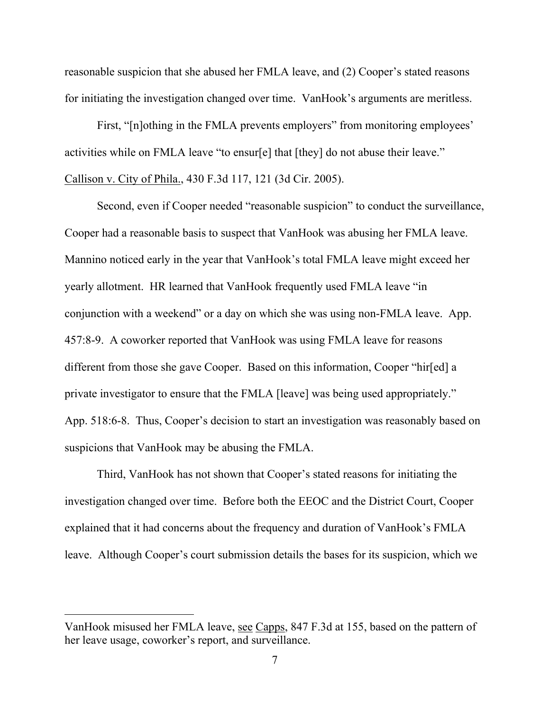reasonable suspicion that she abused her FMLA leave, and (2) Cooper's stated reasons for initiating the investigation changed over time. VanHook's arguments are meritless.

First, "[n]othing in the FMLA prevents employers" from monitoring employees' activities while on FMLA leave "to ensur[e] that [they] do not abuse their leave." Callison v. City of Phila., 430 F.3d 117, 121 (3d Cir. 2005).

Second, even if Cooper needed "reasonable suspicion" to conduct the surveillance, Cooper had a reasonable basis to suspect that VanHook was abusing her FMLA leave. Mannino noticed early in the year that VanHook's total FMLA leave might exceed her yearly allotment. HR learned that VanHook frequently used FMLA leave "in conjunction with a weekend" or a day on which she was using non-FMLA leave. App. 457:8-9. A coworker reported that VanHook was using FMLA leave for reasons different from those she gave Cooper. Based on this information, Cooper "hir[ed] a private investigator to ensure that the FMLA [leave] was being used appropriately." App. 518:6-8. Thus, Cooper's decision to start an investigation was reasonably based on suspicions that VanHook may be abusing the FMLA.

Third, VanHook has not shown that Cooper's stated reasons for initiating the investigation changed over time. Before both the EEOC and the District Court, Cooper explained that it had concerns about the frequency and duration of VanHook's FMLA leave. Although Cooper's court submission details the bases for its suspicion, which we

VanHook misused her FMLA leave, see Capps, 847 F.3d at 155, based on the pattern of her leave usage, coworker's report, and surveillance.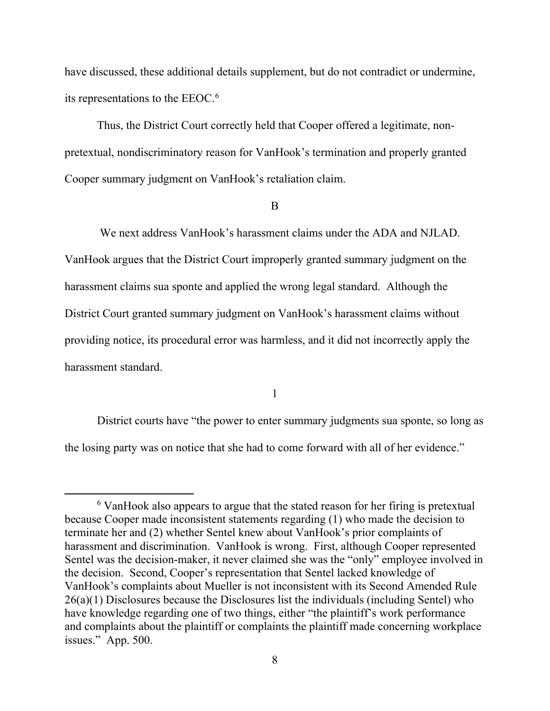have discussed, these additional details supplement, but do not contradict or undermine, its representations to the EEOC. [6](#page-8-0)

Thus, the District Court correctly held that Cooper offered a legitimate, nonpretextual, nondiscriminatory reason for VanHook's termination and properly granted Cooper summary judgment on VanHook's retaliation claim.

#### B

We next address VanHook's harassment claims under the ADA and NJLAD. VanHook argues that the District Court improperly granted summary judgment on the harassment claims sua sponte and applied the wrong legal standard. Although the District Court granted summary judgment on VanHook's harassment claims without providing notice, its procedural error was harmless, and it did not incorrectly apply the harassment standard.

#### 1

District courts have "the power to enter summary judgments sua sponte, so long as the losing party was on notice that she had to come forward with all of her evidence."

<span id="page-8-0"></span><sup>&</sup>lt;sup>6</sup> VanHook also appears to argue that the stated reason for her firing is pretextual because Cooper made inconsistent statements regarding (1) who made the decision to terminate her and (2) whether Sentel knew about VanHook's prior complaints of harassment and discrimination. VanHook is wrong. First, although Cooper represented Sentel was the decision-maker, it never claimed she was the "only" employee involved in the decision. Second, Cooper's representation that Sentel lacked knowledge of VanHook's complaints about Mueller is not inconsistent with its Second Amended Rule 26(a)(1) Disclosures because the Disclosures list the individuals (including Sentel) who have knowledge regarding one of two things, either "the plaintiff's work performance and complaints about the plaintiff or complaints the plaintiff made concerning workplace issues." App. 500.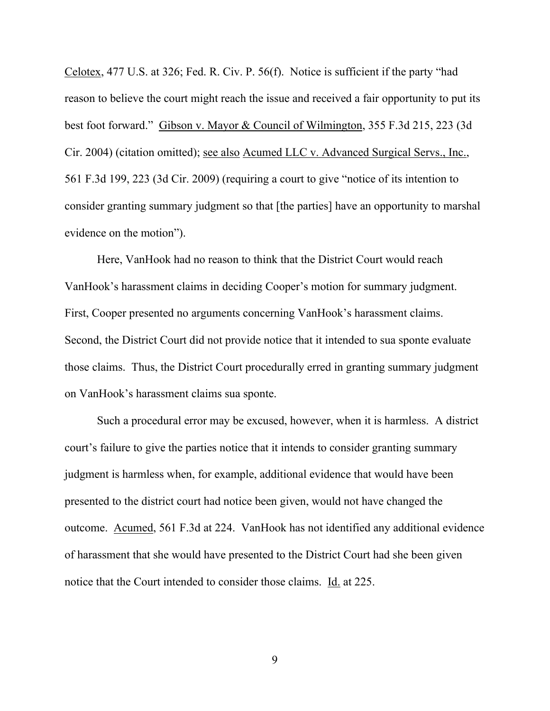Celotex, 477 U.S. at 326; Fed. R. Civ. P. 56(f). Notice is sufficient if the party "had reason to believe the court might reach the issue and received a fair opportunity to put its best foot forward." Gibson v. Mayor & Council of Wilmington, 355 F.3d 215, 223 (3d Cir. 2004) (citation omitted); see also Acumed LLC v. Advanced Surgical Servs., Inc., 561 F.3d 199, 223 (3d Cir. 2009) (requiring a court to give "notice of its intention to consider granting summary judgment so that [the parties] have an opportunity to marshal evidence on the motion").

Here, VanHook had no reason to think that the District Court would reach VanHook's harassment claims in deciding Cooper's motion for summary judgment. First, Cooper presented no arguments concerning VanHook's harassment claims. Second, the District Court did not provide notice that it intended to sua sponte evaluate those claims. Thus, the District Court procedurally erred in granting summary judgment on VanHook's harassment claims sua sponte.

Such a procedural error may be excused, however, when it is harmless. A district court's failure to give the parties notice that it intends to consider granting summary judgment is harmless when, for example, additional evidence that would have been presented to the district court had notice been given, would not have changed the outcome. Acumed, 561 F.3d at 224. VanHook has not identified any additional evidence of harassment that she would have presented to the District Court had she been given notice that the Court intended to consider those claims. Id. at 225.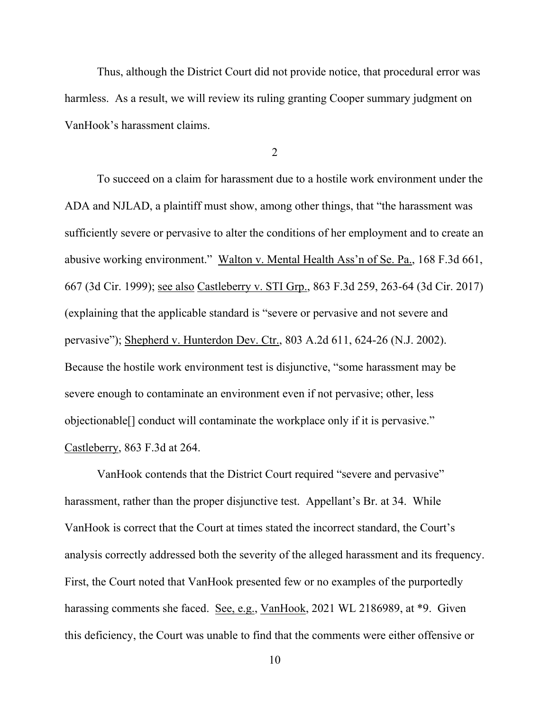Thus, although the District Court did not provide notice, that procedural error was harmless. As a result, we will review its ruling granting Cooper summary judgment on VanHook's harassment claims.

2

To succeed on a claim for harassment due to a hostile work environment under the ADA and NJLAD, a plaintiff must show, among other things, that "the harassment was sufficiently severe or pervasive to alter the conditions of her employment and to create an abusive working environment." Walton v. Mental Health Ass'n of Se. Pa., 168 F.3d 661, 667 (3d Cir. 1999); see also Castleberry v. STI Grp., 863 F.3d 259, 263-64 (3d Cir. 2017) (explaining that the applicable standard is "severe or pervasive and not severe and pervasive"); Shepherd v. Hunterdon Dev. Ctr., 803 A.2d 611, 624-26 (N.J. 2002). Because the hostile work environment test is disjunctive, "some harassment may be severe enough to contaminate an environment even if not pervasive; other, less objectionable[] conduct will contaminate the workplace only if it is pervasive." Castleberry, 863 F.3d at 264.

VanHook contends that the District Court required "severe and pervasive" harassment, rather than the proper disjunctive test. Appellant's Br. at 34. While VanHook is correct that the Court at times stated the incorrect standard, the Court's analysis correctly addressed both the severity of the alleged harassment and its frequency. First, the Court noted that VanHook presented few or no examples of the purportedly harassing comments she faced. See, e.g., VanHook, 2021 WL 2186989, at \*9. Given this deficiency, the Court was unable to find that the comments were either offensive or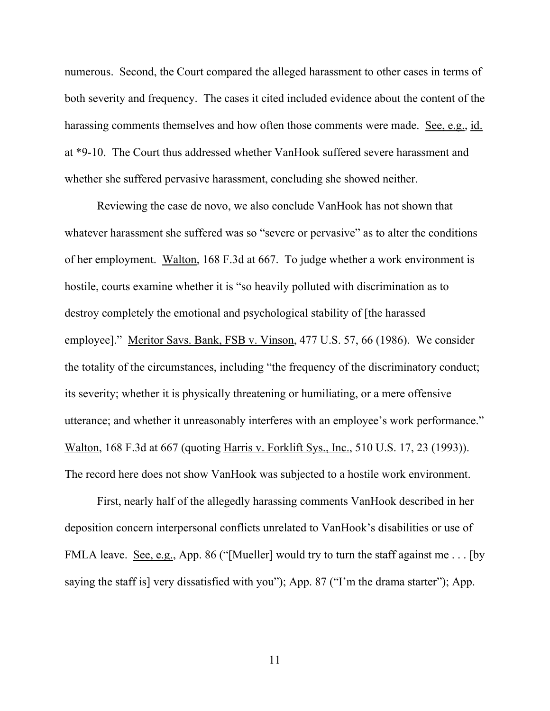numerous. Second, the Court compared the alleged harassment to other cases in terms of both severity and frequency. The cases it cited included evidence about the content of the harassing comments themselves and how often those comments were made. See, e.g., id. at \*9-10. The Court thus addressed whether VanHook suffered severe harassment and whether she suffered pervasive harassment, concluding she showed neither.

Reviewing the case de novo, we also conclude VanHook has not shown that whatever harassment she suffered was so "severe or pervasive" as to alter the conditions of her employment. Walton, 168 F.3d at 667. To judge whether a work environment is hostile, courts examine whether it is "so heavily polluted with discrimination as to destroy completely the emotional and psychological stability of [the harassed employee]." Meritor Savs. Bank, FSB v. Vinson, 477 U.S. 57, 66 (1986). We consider the totality of the circumstances, including "the frequency of the discriminatory conduct; its severity; whether it is physically threatening or humiliating, or a mere offensive utterance; and whether it unreasonably interferes with an employee's work performance." Walton, 168 F.3d at 667 (quoting Harris v. Forklift Sys., Inc., 510 U.S. 17, 23 (1993)). The record here does not show VanHook was subjected to a hostile work environment.

First, nearly half of the allegedly harassing comments VanHook described in her deposition concern interpersonal conflicts unrelated to VanHook's disabilities or use of FMLA leave. See, e.g., App. 86 ("[Mueller] would try to turn the staff against me . . . [by saying the staff is] very dissatisfied with you"); App. 87 ("I'm the drama starter"); App.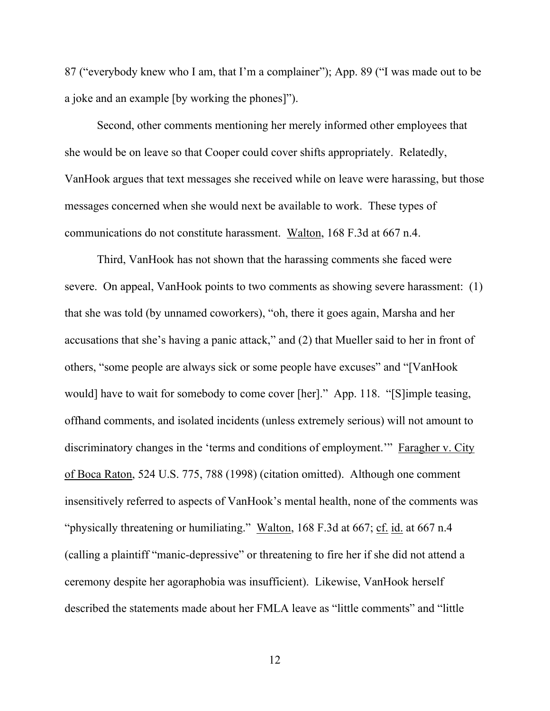87 ("everybody knew who I am, that I'm a complainer"); App. 89 ("I was made out to be a joke and an example [by working the phones]").

Second, other comments mentioning her merely informed other employees that she would be on leave so that Cooper could cover shifts appropriately. Relatedly, VanHook argues that text messages she received while on leave were harassing, but those messages concerned when she would next be available to work. These types of communications do not constitute harassment. Walton, 168 F.3d at 667 n.4.

Third, VanHook has not shown that the harassing comments she faced were severe. On appeal, VanHook points to two comments as showing severe harassment: (1) that she was told (by unnamed coworkers), "oh, there it goes again, Marsha and her accusations that she's having a panic attack," and (2) that Mueller said to her in front of others, "some people are always sick or some people have excuses" and "[VanHook would] have to wait for somebody to come cover [her]." App. 118. "[S]imple teasing, offhand comments, and isolated incidents (unless extremely serious) will not amount to discriminatory changes in the 'terms and conditions of employment.'" Faragher v. City of Boca Raton, 524 U.S. 775, 788 (1998) (citation omitted). Although one comment insensitively referred to aspects of VanHook's mental health, none of the comments was "physically threatening or humiliating." Walton, 168 F.3d at 667; cf. id. at 667 n.4 (calling a plaintiff "manic-depressive" or threatening to fire her if she did not attend a ceremony despite her agoraphobia was insufficient). Likewise, VanHook herself described the statements made about her FMLA leave as "little comments" and "little